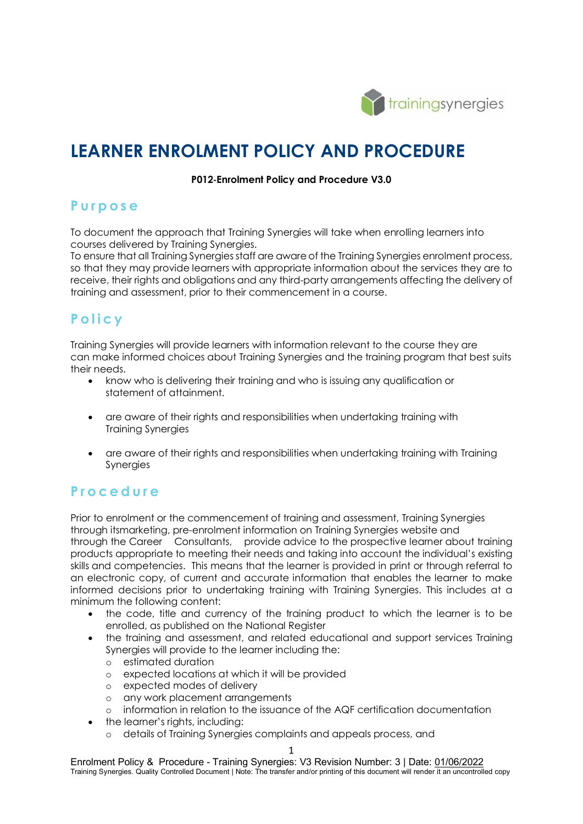

# **LEARNER ENROLMENT POLICY AND PROCEDURE**

#### **P012**‐**Enrolment Policy and Procedure V3.0**

## **Purpose**

To document the approach that Training Synergies will take when enrolling learners into courses delivered by Training Synergies.

To ensure that all Training Synergies staff are aware of the Training Synergies enrolment process, so that they may provide learners with appropriate information about the services they are to receive, their rights and obligations and any third-party arrangements affecting the delivery of training and assessment, prior to their commencement in a course.

# **Policy**

Training Synergies will provide learners with information relevant to the course they are can make informed choices about Training Synergies and the training program that best suits their needs.

- know who is delivering their training and who is issuing any qualification or statement of attainment.
- are aware of their rights and responsibilities when undertaking training with Training Synergies
- are aware of their rights and responsibilities when undertaking training with Training Synergies

# **Procedure**

Prior to enrolment or the commencement of training and assessment, Training Synergies through itsmarketing, pre-enrolment information on Training Synergies website and through the Career Consultants, provide advice to the prospective learner about training products appropriate to meeting their needs and taking into account the individual's existing skills and competencies. This means that the learner is provided in print or through referral to an electronic copy, of current and accurate information that enables the learner to make informed decisions prior to undertaking training with Training Synergies. This includes at a minimum the following content:

- the code, title and currency of the training product to which the learner is to be enrolled, as published on the National Register
- the training and assessment, and related educational and support services Training Synergies will provide to the learner including the:
	- o estimated duration
	- o expected locations at which it will be provided
	- o expected modes of delivery
	- o any work placement arrangements
	- o information in relation to the issuance of the AQF certification documentation
- the learner's rights, including:
	- o details of Training Synergies complaints and appeals process, and